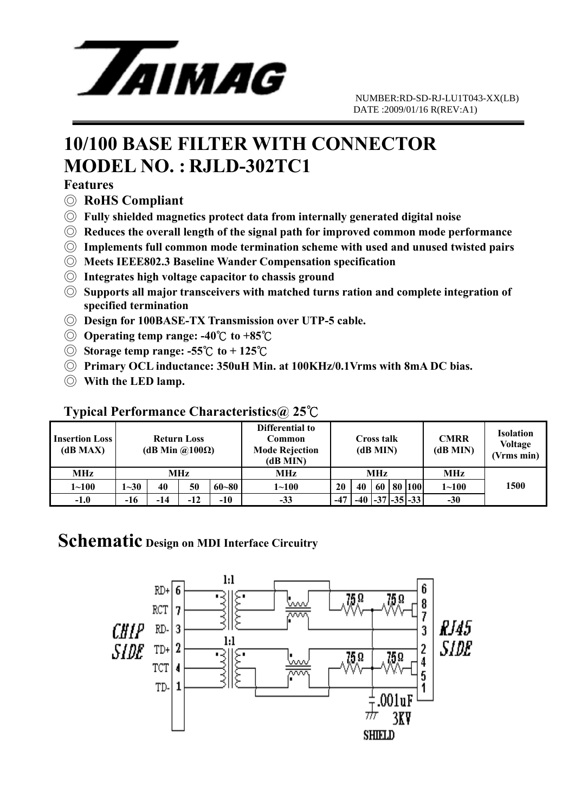

## **10/100 BASE FILTER WITH CONNECTOR MODEL NO. : RJLD-302TC1**

#### **Features**

- ◎ **RoHS Compliant**
- ◎ **Fully shielded magnetics protect data from internally generated digital noise**
- ◎ **Reduces the overall length of the signal path for improved common mode performance**
- ◎ **Implements full common mode termination scheme with used and unused twisted pairs**
- ◎ **Meets IEEE802.3 Baseline Wander Compensation specification**
- ◎ **Integrates high voltage capacitor to chassis ground**
- ◎ **Supports all major transceivers with matched turns ration and complete integration of specified termination**
- ◎ **Design for 100BASE-TX Transmission over UTP-5 cable.**
- ◎ **Operating temp range: -40** ℃ **to +85**℃
- ◎ **Storage temp range: -55**℃ **to + 125** ℃
- ◎ **Primary OCL inductance: 350uH Min. at 100KHz/0.1Vrms with 8mA DC bias.**
- ◎ **With the LED lamp.**

#### **Typical Performance Characteristics@ 25**℃

| <b>Insertion Loss</b><br>(dB MAX) | <b>Return Loss</b><br>(dB Min $\omega(100\Omega)$ ) |     |       |           | Differential to<br>Common<br><b>Mode Rejection</b><br>(dB MIN) | Cross talk<br>(dB MIN) |       |    |    | <b>CMRR</b><br>(dB MIN) | <b>Isolation</b><br><b>Voltage</b><br>(Vrms min) |      |
|-----------------------------------|-----------------------------------------------------|-----|-------|-----------|----------------------------------------------------------------|------------------------|-------|----|----|-------------------------|--------------------------------------------------|------|
| <b>MHz</b>                        | MHz                                                 |     |       |           | <b>MHz</b>                                                     | <b>MHz</b>             |       |    |    |                         | MHz                                              |      |
| $1 - 100$                         | $1 - 30$                                            | 40  | 50    | $60 - 80$ | $1 - 100$                                                      | 20                     | 40    | 60 | 80 | 100                     | $1 - 100$                                        | 1500 |
| $-1.0$                            | $-16$                                               | -14 | $-12$ | $-10$     | $-33$                                                          | $-47$                  | $-40$ |    |    | $-37$ $-35$ $-33$       | $-30$                                            |      |

### **Schematic Design on MDI Interface Circuitry**

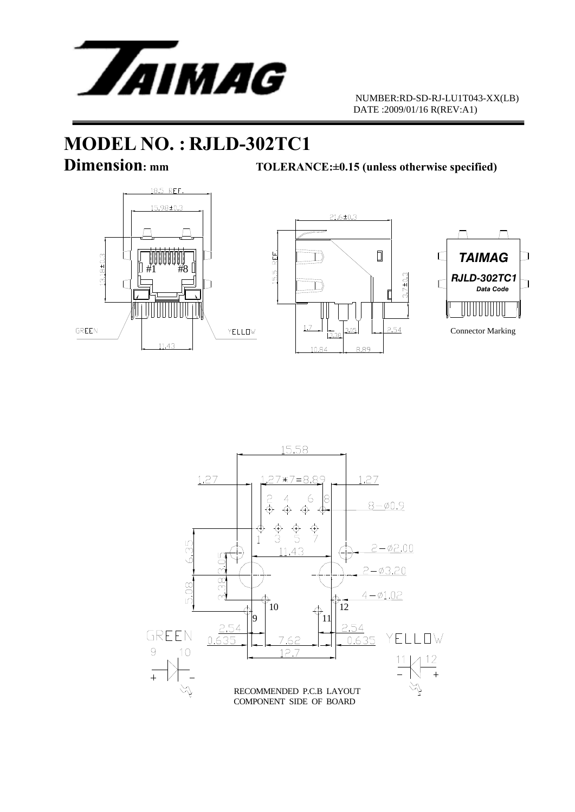

 NUMBER:RD-SD-RJ-LU1T043-XX(LB) DATE :2009/01/16 R(REV:A1)

# **MODEL NO. : RJLD-302TC1**<br>Dimension: mm<br>TOLERAN

**TOLERANCE:**  $\pm 0.15$  (unless otherwise specified)







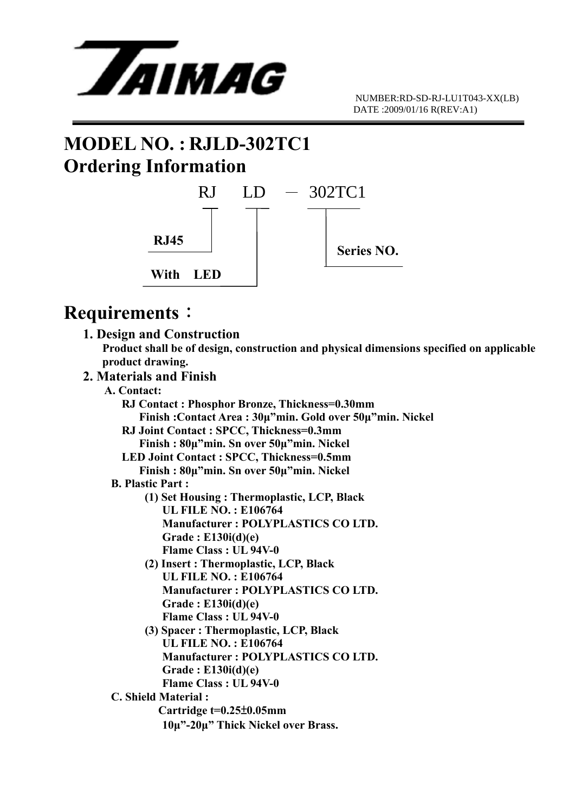

## **MODEL NO. : RJLD-302TC1 Ordering Information**



## **Requirements**:

 **1. Design and Construction Product shall be of design, construction and physical dimensions specified on applicable product drawing.** 

#### **2. Materials and Finish**

- **A. Contact:** 
	- **RJ Contact : Phosphor Bronze, Thickness=0.30mm Finish :Contact Area : 30μ"min. Gold over 50μ"min. Nickel RJ Joint Contact : SPCC, Thickness=0.3mm Finish : 80μ"min. Sn over 50μ"min. Nickel**
	- **LED Joint Contact : SPCC, Thickness=0.5mm Finish : 80μ"min. Sn over 50μ"min. Nickel**

#### **B. Plastic Part :**

- **(1) Set Housing : Thermoplastic, LCP, Black UL FILE NO. : E106764 Manufacturer : POLYPLASTICS CO LTD. Grade : E130i(d)(e) Flame Class : UL 94V-0**
- **(2) Insert : Thermoplastic, LCP, Black UL FILE NO. : E106764 Manufacturer : POLYPLASTICS CO LTD. Grade : E130i(d)(e) Flame Class : UL 94V-0**
- **(3) Spacer : Thermoplastic, LCP, Black UL FILE NO. : E106764 Manufacturer : POLYPLASTICS CO LTD. Grade : E130i(d)(e) Flame Class : UL 94V-0**

#### **C. Shield Material :**

 **Cartridge t=0.25**±**0.05mm 10μ"-20μ" Thick Nickel over Brass.**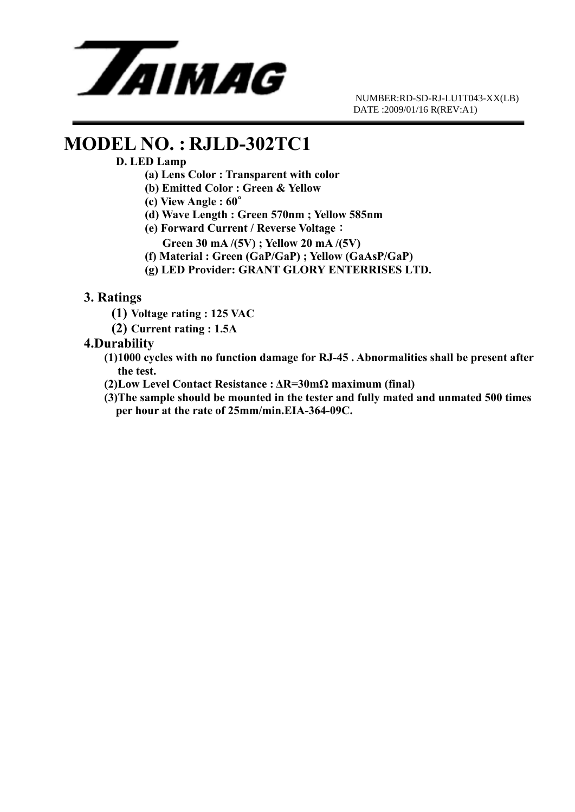

 NUMBER:RD-SD-RJ-LU1T043-XX(LB) DATE :2009/01/16 R(REV:A1)

## **MODEL NO. : RJLD-302TC1**

#### **D. LED Lamp**

- **(a) Lens Color : Transparent with color**
- **(b) Emitted Color : Green & Yellow**
- **(c) View Angle : 60**∘
- **(d) Wave Length : Green 570nm ; Yellow 585nm**
- **(e) Forward Current / Reverse Voltage**:
	- **Green 30 mA /(5V) ; Yellow 20 mA /(5V)**
- **(f) Material : Green (GaP/GaP) ; Yellow (GaAsP/GaP)**
- **(g) LED Provider: GRANT GLORY ENTERRISES LTD.**

#### **3. Ratings**

- **(1) Voltage rating : 125 VAC**
- **(2) Current rating : 1.5A**

#### **4.Durability**

- **(1)1000 cycles with no function damage for RJ-45 . Abnormalities shall be present after the test.**
- **(2)Low Level Contact Resistance : ΔR=30mΩ maximum (final)**
- **(3)The sample should be mounted in the tester and fully mated and unmated 500 times per hour at the rate of 25mm/min.EIA-364-09C.**